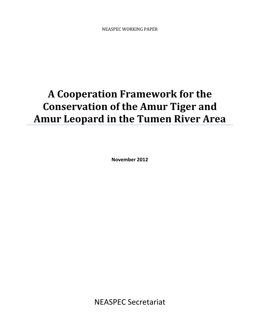# A Cooperation Framework for the Conservation of the Amur Tiger and Amur Leopard in the Tumen River Area

November 2012

NEASPEC Secretariat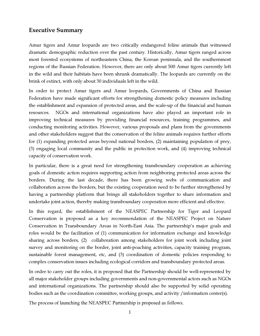# Executive Summary

Amur tigers and Amur leopards are two critically endangered feline animals that witnessed dramatic demographic reduction over the past century. Historically, Amur tigers ranged across most forested ecosystems of northeastern China, the Korean peninsula, and the southernmost regions of the Russian Federation. However, there are only about 500 Amur tigers currently left in the wild and their habitats have been shrunk dramatically. The leopards are currently on the brink of extinct, with only about 30 individuals left in the wild.

In order to protect Amur tigers and Amur leopards, Governments of China and Russian Federation have made significant efforts for strengthening domestic policy measures including the establishment and expansion of protected areas, and the scale-up of the financial and human resources. NGOs and international organizations have also played an important role in improving technical measures by providing financial resources, training programmes, and conducting monitoring activities. However, various proposals and plans from the governments and other stakeholders suggest that the conservation of the feline animals requires further efforts for (1) expanding protected areas beyond national borders, (2) maintaining population of prey, (3) engaging local community and the public in protection work, and (4) improving technical capacity of conservation work.

In particular, there is a great need for strengthening transboundary cooperation as achieving goals of domestic action requires supporting action from neighboring protected areas across the borders. During the last decade, there has been growing webs of communication and collaboration across the borders, but the existing cooperation need to be further strengthened by having a partnership platform that brings all stakeholders together to share information and undertake joint action, thereby making transboundary cooperation more efficient and effective.

In this regard, the establishment of the NEASPEC Partnership for Tiger and Leopard Conservation is proposed as a key recommendation of the NEASPEC Project on Nature Conservation in Transboundary Areas in North-East Asia. The partnership's major goals and roles would be the facilitation of (1) communication for information exchange and knowledge sharing across borders, (2) collaboration among stakeholders for joint work including joint survey and monitoring on the border, joint anti-poaching activities, capacity training program, sustainable forest management, etc, and (3) coordination of domestic policies responding to complex conservation issues including ecological corridors and transboundary protected areas.

In order to carry out the roles, it is proposed that the Partnership should be well-represented by all major stakeholder groups including governments and non-governmental actors such as NGOs and international organizations. The partnership should also be supported by solid operating bodies such as the coordination committee, working groups, and activity / information center(s).

The process of launching the NEASPEC Partnership is proposed as follows.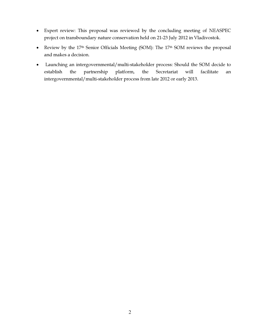- Expert review: This proposal was reviewed by the concluding meeting of NEASPEC project on transboundary nature conservation held on 21-23 July 2012 in Vladivostok.
- Review by the 17<sup>th</sup> Senior Officials Meeting (SOM): The 17<sup>th</sup> SOM reviews the proposal and makes a decision.
- Launching an intergovernmental/multi-stakeholder process: Should the SOM decide to establish the partnership platform, the Secretariat will facilitate an intergovernmental/multi-stakeholder process from late 2012 or early 2013.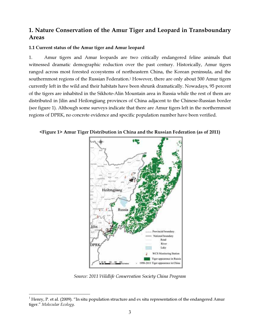# 1. Nature Conservation of the Amur Tiger and Leopard in Transboundary Areas

# 1.1 Current status of the Amur tiger and Amur leopard

1. Amur tigers and Amur leopards are two critically endangered feline animals that witnessed dramatic demographic reduction over the past century. Historically, Amur tigers ranged across most forested ecosystems of northeastern China, the Korean peninsula, and the southernmost regions of the Russian Federation.<sup>1</sup> However, there are only about 500 Amur tigers currently left in the wild and their habitats have been shrunk dramatically. Nowadays, 95 percent of the tigers are inhabited in the Sikhote-Alin Mountain area in Russia while the rest of them are distributed in Jilin and Heilongjiang provinces of China adjacent to the Chinese-Russian border (see figure 1). Although some surveys indicate that there are Amur tigers left in the northernmost regions of DPRK, no concrete evidence and specific population number have been verified.

<Figure 1> Amur Tiger Distribution in China and the Russian Federation (as of 2011)



*Source: 2011 Wildlife Conservation Society China Program*

 $\overline{a}$ 

<sup>&</sup>lt;sup>1</sup> Henry, P. et al. (2009). "In situ population structure and ex situ representation of the endangered Amur tiger." Molecular Ecology.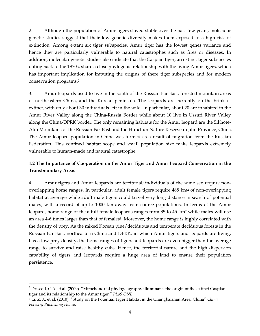2. Although the population of Amur tigers stayed stable over the past few years, molecular genetic studies suggest that their low genetic diversity makes them exposed to a high risk of extinction. Among extant six tiger subspecies, Amur tiger has the lowest genes variance and hence they are particularly vulnerable to natural catastrophes such as fires or diseases. In addition, molecular genetic studies also indicate that the Caspian tiger, an extinct tiger subspecies dating back to the 1970s, share a close phylogenic relationship with the living Amur tigers, which has important implication for imputing the origins of there tiger subspecies and for modern conservation programs.<sup>2</sup>

3. Amur leopards used to live in the south of the Russian Far East, forested mountain areas of northeastern China, and the Korean peninsula. The leopards are currently on the brink of extinct, with only about 30 individuals left in the wild. In particular, about 20 are inhabited in the Amur River Valley along the China-Russia Border while about 10 live in Ussuri River Valley along the China-DPRK border. The only remaining habitats for the Amur leopard are the Sikhote-Alin Mountains of the Russian Far-East and the Hunchun Nature Reserve in Jilin Province, China. The Amur leopard population in China was formed as a result of migration from the Russian Federation. This confined habitat scope and small population size make leopards extremely vulnerable to human-made and natural catastrophe.

# 1.2 The Importance of Cooperation on the Amur Tiger and Amur Leopard Conservation in the Transboundary Areas

4. Amur tigers and Amur leopards are territorial; individuals of the same sex require nonoverlapping home ranges. In particular, adult female tigers require 488 km<sup>2</sup> of non-overlapping habitat at average while adult male tigers could travel very long distance in search of potential mates, with a record of up to 1000 km away from source populations. In terms of the Amur leopard, home range of the adult female leopards ranges from 35 to 45 km<sup>2</sup> while males will use an area 4-6 times larger than that of females<sup>3</sup>. Moreover, the home range is highly correlated with the density of prey. As the mixed Korean pine/deciduous and temperate deciduous forests in the Russian Far East, northeastern China and DPRK, in which Amur tigers and leopards are living, has a low prey density, the home ranges of tigers and leopards are even bigger than the average range to survive and raise healthy cubs. Hence, the territorial nature and the high dispersion capability of tigers and leopards require a huge area of land to ensure their population persistence.

 $\overline{a}$ 

 $2$  Driscoll, C.A. et al. (2009). "Mitochondrial phylogeography illuminates the origin of the extinct Caspian tiger and its relationship to the Amur tiger." PLoS ONE. .

<sup>&</sup>lt;sup>3</sup> Li, Z. X. et al. (2010). "Study on the Potential Tiger Habitat in the Changbaishan Area, China" China Forestry Publishing House.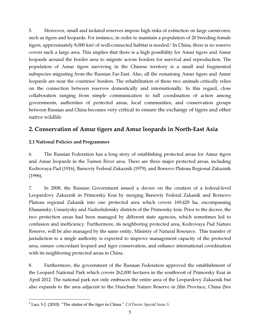5. Moreover, small and isolated reserves impose high risks of extinction on large carnivores, such as tigers and leopards. For instance, in order to maintain a population of 20 breeding female tigers, approximately 8,000 km<sup>2</sup> of well-connected habitat is needed.<sup>3</sup> In China, there is no reserve covers such a large area. This implies that there is a high possibility for Amur tigers and Amur leopards around the border area to migrate across borders for survival and reproduction. The population of Amur tigers surviving in the Chinese territory is a small and fragmented subspecies migrating from the Russian Far-East. Also, all the remaining Amur tigers and Amur leopards are near the countries' borders. The rehabilitation of these two animals critically relies on the connection between reserves domestically and internationally. In this regard, close collaboration ranging from simple communication to full coordination of action among governments, authorities of protected areas, local communities, and conservation groups between Russian and China becomes very critical to ensure the exchange of tigers and other native wildlife

# 2. Conservation of Amur tigers and Amur leopards in North-East Asia

# 2.1 National Policies and Programmes

6. The Russian Federation has a long story of establishing protected areas for Amur tigers and Amur leopards in the Tumen River area. There are three major protected areas, including Kedrovaya Pad (1916), Barsoviy Federal Zakaznik (1979), and Borsovo Plateau Regional Zakaznik (1996).

7. In 2008, the Russian Government issued a decree on the creation of a federal-level Leopardovy Zakaznik in Primorsky Krai by merging Barsoviy Federal Zakanik and Borisovo Plateau regional Zakanik into one protected area which covers 169,429 ha, encompassing Khasansky, Ussuriysky and Nadezhdensky districts of the Primorsky krai. Prior to the decree, the two protection areas had been managed by different state agencies, which sometimes led to confusion and inefficiency. Furthermore, its neighboring protected area, Kedrovaya Pad Nature Reserve, will be also managed by the same entity, Ministry of Natural Resource. This transfer of jurisdiction to a single authority is expected to improve management capacity of the protected area, ensure concordant leopard and tiger conservation, and enhance international coordination with its neighboring protected areas in China.

8. Furthermore, the government of the Russian Federation approved the establishment of the Leopard National Park which covers 262,000 hectares in the southwest of Primorsky Krai in April 2012. The national park not only embraces the entire area of the Leopardovy Zakaznik but also expands to the area adjacent to the Hunchun Nature Reserve in Jilin Province, China (See

 $\overline{a}$ <sup>4</sup> Luo, S.J. (2010). "The status of the tiger in China." CATnews Special Issue 5.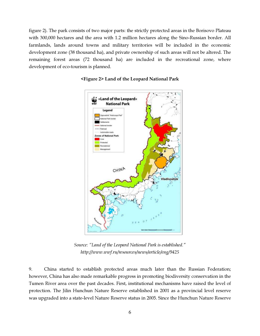figure 2). The park consists of two major parts: the strictly protected areas in the Borisovo Plateau with 300,000 hectares and the area with 1.2 million hectares along the Sino-Russian border. All farmlands, lands around towns and military territories will be included in the economic development zone (38 thousand ha), and private ownership of such areas will not be altered. The remaining forest areas (72 thousand ha) are included in the recreational zone, where development of eco-tourism is planned.



#### <Figure 2> Land of the Leopard National Park

*Source: "Land of the Leopard National Park is established." http://www.wwf.ru/resources/news/article/eng/9425* 

9. China started to establish protected areas much later than the Russian Federation; however, China has also made remarkable progress in promoting biodiversity conservation in the Tumen River area over the past decades. First, institutional mechanisms have raised the level of protection. The Jilin Hunchun Nature Reserve established in 2001 as a provincial level reserve was upgraded into a state-level Nature Reserve status in 2005. Since the Hunchun Nature Reserve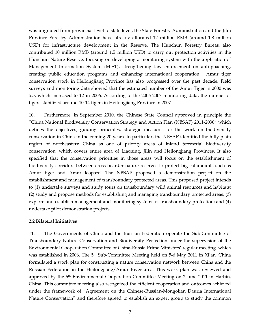was upgraded from provincial level to state level, the State Forestry Administration and the Jilin Province Forestry Administration have already allocated 12 million RMB (around 1.8 million USD) for infrastructure development in the Reserve. The Hunchun Forestry Bureau also contributed 10 million RMB (around 1.5 million USD) to carry out protection activities in the Hunchun Nature Reserve, focusing on developing a monitoring system with the application of Management Information System (MIST), strengthening law enforcement on anti-poaching, creating public education programs and enhancing international cooperation. Amur tiger conservation work in Heilongjiang Province has also progressed over the past decade. Field surveys and monitoring data showed that the estimated number of the Amur Tiger in 2000 was 5.5, which increased to 12 in 2006. According to the 2006-2007 monitoring data, the number of tigers stabilized around 10-14 tigers in Heilongjiang Province in 2007.

10. Furthermore, in September 2010, the Chinese State Council approved in principle the "China National Biodiversity Conservation Strategy and Action Plan (NBSAP) 2011-2030" which defines the objectives, guiding principles, strategic measures for the work on biodiversity conservation in China in the coming 20 years. In particular, the NBSAP identified the hilly plain region of northeastern China as one of priority areas of inland terrestrial biodiversity conservation, which covers entire area of Liaoning, Jilin and Heilongjiang Provinces. It also specified that the conservation priorities in those areas will focus on the establishment of biodiversity corridors between cross-boarder nature reserves to protect big catamounts such as Amur tiger and Amur leopard. The NBSAP proposed a demonstration project on the establishment and management of transboundary protected areas. This proposed project intends to (1) undertake surveys and study tours on transboundary wild animal resources and habitats; (2) study and propose methods for establishing and managing transboundary protected areas; (3) explore and establish management and monitoring systems of transboundary protection; and (4) undertake pilot demonstration projects.

#### 2.2 Bilateral Initiatives

11. The Governments of China and the Russian Federation operate the Sub-Committee of Transboundary Nature Conservation and Biodiversity Protection under the supervision of the Environmental Cooperation Committee of China-Russia Prime Ministers' regular meeting, which was established in 2006. The 5<sup>th</sup> Sub-Committee Meeting held on 5-6 May 2011 in Xi'an, China formulated a work plan for constructing a nature conservation network between China and the Russian Federation in the Heilongjiang/Amur River area. This work plan was reviewed and approved by the  $6<sup>th</sup>$  Environmental Cooperation Committee Meeting on 2 June 2011 in Harbin, China. This committee meeting also recognized the efficient cooperation and outcomes achieved under the framework of "Agreement on the Chinese-Russian-Mongolian Dauria International Nature Conservation" and therefore agreed to establish an expert group to study the common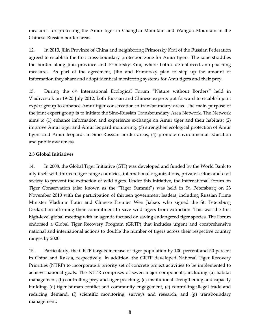measures for protecting the Amur tiger in Changbai Mountain and Wangda Mountain in the Chinese-Russian border areas.

12. In 2010, Jilin Province of China and neighboring Primorsky Krai of the Russian Federation agreed to establish the first cross-boundary protection zone for Amur tigers. The zone straddles the border along Jilin province and Primorsky Krai, where both side enforced anti-poaching measures. As part of the agreement, Jilin and Primorsky plan to step up the amount of information they share and adopt identical monitoring systems for Amu tigers and their prey.

13. During the 6th International Ecological Forum "Nature without Borders" held in Vladivostok on 19-20 July 2012, both Russian and Chinese experts put forward to establish joint expert group to enhance Amur tiger conservation in transboundary areas. The main purpose of the joint expert group is to initiate the Sino-Russian Transboundary Area Network. The Network aims to (1) enhance information and experience exchange on Amur tiger and their habitats; (2) improve Amur tiger and Amur leopard monitoring; (3) strengthen ecological protection of Amur tigers and Amur leopards in Sino-Russian border areas; (4) promote environmental education and public awareness.

# 2.3 Global Initiatives

14. In 2008, the Global Tiger Initiative (GTI) was developed and funded by the World Bank to ally itself with thirteen tiger range countries, international organizations, private sectors and civil society to prevent the extinction of wild tigers. Under this initiative, the International Forum on Tiger Conservation (also known as the "Tiger Summit") was held in St. Petersburg on 23 November 2010 with the participation of thirteen government leaders, including Russian Prime Minister Vladimir Putin and Chinese Premier Wen Jiabao, who signed the St. Petersburg Declaration affirming their commitment to save wild tigers from extinction. This was the first high-level global meeting with an agenda focused on saving endangered tiger species. The Forum endorsed a Global Tiger Recovery Program (GRTP) that includes urgent and comprehensive national and international actions to double the number of tigers across their respective country ranges by 2020.

15. Particularly, the GRTP targets increase of tiger population by 100 percent and 50 percent in China and Russia, respectively. In addition, the GRTP developed National Tiger Recovery Priorities (NTRP) to incorporate a priority set of concrete project activities to be implemented to achieve national goals. The NTPR comprises of seven major components, including (a) habitat management, (b) controlling prey and tiger poaching, (c) institutional strengthening and capacity building, (d) tiger human conflict and community engagement, (e) controlling illegal trade and reducing demand,  $(f)$  scientific monitoring, surveys and research, and  $(g)$  transboundary management.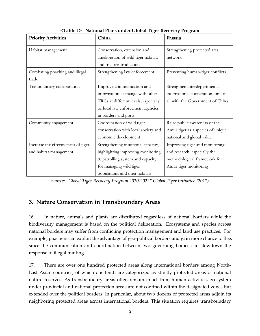| <b>Priority Activities</b>          | China                                | Russia                              |
|-------------------------------------|--------------------------------------|-------------------------------------|
| Habitat management                  | Conservation, extension and          | Strengthening protected area        |
|                                     | amelioration of wild tiger habitat,  | network                             |
|                                     | and trial reintroduction             |                                     |
| Combating poaching and illegal      | Strengthening law enforcement        | Preventing human-tiger conflicts    |
| trade                               |                                      |                                     |
| Tranboundary collaboration          | Improve communication and            | Strengthen interdepartmental        |
|                                     | information exchange with other      | international cooperation, first of |
|                                     | TRCs at different levels, especially | all with the Government of China.   |
|                                     | or local law enforcement agencies    |                                     |
|                                     | in borders and ports                 |                                     |
| Community engagement                | Coordination of wild tiger           | Raise public awareness of the       |
|                                     | conservation with local society and  | Amur tiger as a species of unique   |
|                                     | economic development                 | national and global value           |
| Increase the effectiveness of tiger | Strengthening intuitional capacity,  | Improving tiger and monitoring      |
| and habitat management              | highlighting improving monitoring    | and research, especially the        |
|                                     | & patrolling system and capacity     | methodological framework for        |
|                                     | for managing wild tiger              | Amur tiger monitoring               |
|                                     | populations and their habitats       |                                     |

<Table 1> National Plans under Global Tiger Recovery Program

*Source: "Global Tiger Recovery Program 2010-2022" Global Tiger Initiative (2011)* 

# 3. Nature Conservation in Transboundary Areas

16. In nature, animals and plants are distributed regardless of national borders while the biodiversity management is based on the political delineation. Ecosystems and species across national borders may suffer from conflicting protection management and land use practices. For example, poachers can exploit the advantage of geo-political borders and gain more chance to flee, since the communication and coordination between two governing bodies can slowdown the response to illegal hunting.

17. There are over one hundred protected areas along international borders among North-East Asian countries, of which one-tenth are categorized as strictly protected areas or national nature reserves. As transboundary areas often remain intact from human activities, ecosystem under provincial and national protection areas are not confined within the designated zones but extended over the political borders. In particular, about two dozens of protected areas adjoin its neighboring protected areas across international borders. This situation requires transboundary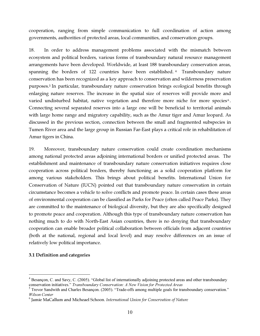cooperation, ranging from simple communication to full coordination of action among governments, authorities of protected areas, local communities, and conservation groups.

18. In order to address management problems associated with the mismatch between ecosystem and political borders, various forms of transboundary natural resource management arrangements have been developed. Worldwide, at least 188 transboundary conservation areas, spanning the borders of  $122$  countries have been established.<sup>4</sup> Transboundary nature conservation has been recognized as a key approach to conservation and wilderness preservation purposes.<sup>5</sup> In particular, transboundary nature conservation brings ecological benefits through enlarging nature reserves. The increase in the spatial size of reserves will provide more and varied undisturbed habitat, native vegetation and therefore more niche for more species<sup>6</sup>. Connecting several separated reserves into a large one will be beneficial to territorial animals with large home range and migratory capability, such as the Amur tiger and Amur leopard. As discussed in the previous section, connection between the small and fragmented subspecies in Tumen River area and the large group in Russian Far-East plays a critical role in rehabilitation of Amur tigers in China.

19. Moreover, transboundary nature conservation could create coordination mechanisms among national protected areas adjoining international borders or unified protected areas. The establishment and maintenance of transboundary nature conservation initiatives requires close cooperation across political borders, thereby functioning as a solid cooperation platform for among various stakeholders. This brings about political benefits. International Union for Conservation of Nature (IUCN) pointed out that transboundary nature conservation in certain circumstance becomes a vehicle to solve conflicts and promote peace. In certain cases these areas of environmental cooperation can be classified as Parks for Peace (often called Peace Parks). They are committed to the maintenance of biological diversity, but they are also specifically designed to promote peace and cooperation. Although this type of transboundary nature conservation has nothing much to do with North-East Asian countries, there is no denying that transboundary cooperation can enable broader political collaboration between officials from adjacent countries (both at the national, regional and local level) and may resolve differences on an issue of relatively low political importance.

# 3.1 Definition and categories

 $\overline{a}$ 

<sup>&</sup>lt;sup>4</sup> Besançon, C. and Savy, C. (2005). "Global list of internationally adjoining protected areas and other transboundary conservation initiatives." Transboundary Conservation: A New Vision for Protected Areas

<sup>&</sup>lt;sup>5</sup> Trevor Sandwith and Charles Besançon. (2005). "Trade-offs among multiple goals for transboundary conservation." Wilson Center

 $^6$  Jamie MaCallum and Micheael Schoon. International Union for Conservation of Nature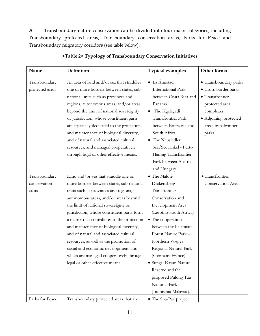20. Transboundary nature conservation can be divided into four major categories, including Transboundary protected areas, Transboundary conservation areas, Parks for Peace and Transboundary migratory corridors (see table below).

| Name            | Definition                                  | <b>Typical examples</b>   | Other forms           |
|-----------------|---------------------------------------------|---------------------------|-----------------------|
| Transboundary   | An area of land and/or sea that straddles   | • La Ámistad              | · Transboundary parks |
| protected areas | one or more borders between states, sub-    | <b>International Park</b> | • Cross-border parks  |
|                 | national units such as provinces and        | between Costa Rica and    | · Transfrontier       |
|                 | regions, autonomous areas, and/or areas     | Panama                    | protected area        |
|                 | beyond the limit of national sovereignty    | The Kgalagadi<br>٠        | complexes             |
|                 | or jurisdiction, whose constituent parts    | Transfrontier Park        | · Adjoining protected |
|                 | are especially dedicated to the protection  | between Botswana and      | areas transfrontier   |
|                 | and maintenance of biological diversity,    | South Africa              | parks                 |
|                 | and of natural and associated cultural      | • The Neusiedler          |                       |
|                 | resources, and managed cooperatively        | See/Seewinkel - Fertö     |                       |
|                 | through legal or other effective means.     | Hansag Transfrontier      |                       |
|                 |                                             | Park between Austria      |                       |
|                 |                                             | and Hungary               |                       |
| Transboundary   | Land and/or sea that straddle one or        | · The Maloti-             | · Transfrontier       |
| conservation    | more borders between states, sub-national   | Drakensberg               | Conservation Areas    |
| areas           | units such as provinces and regions,        | Transfrontier             |                       |
|                 | autonomous areas, and/or areas beyond       | Conservation and          |                       |
|                 | the limit of national sovereignty or        | Development Area          |                       |
|                 | jurisdiction, whose constituent parts form  | (Lesotho-South Africa)    |                       |
|                 | a matrix that contributes to the protection | • The cooperation         |                       |
|                 | and maintenance of biological diversity,    | between the Palatinate    |                       |
|                 | and of natural and associated cultural      | Forest Nature Park -      |                       |
|                 | resources, as well as the promotion of      | Northern Vosges           |                       |
|                 | social and economic development, and        | Regional Natural Park     |                       |
|                 | which are managed cooperatively through     | (Germany-France)          |                       |
|                 | legal or other effective means.             | · Sungai Kayan Nature     |                       |
|                 |                                             | Reserve and the           |                       |
|                 |                                             | proposed Pulong Tau       |                       |
|                 |                                             | National Park             |                       |
|                 |                                             | (Indonesia-Malaysia).     |                       |
| Parks for Peace | Transboundary protected areas that are      | • The Si-a-Paz project    |                       |

# <Table 2> Typology of Transboundary Conservation Initiatives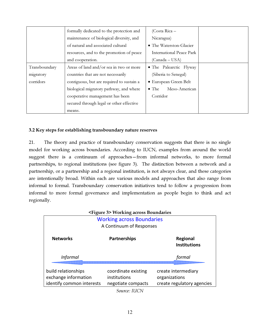|               | formally dedicated to the protection and  | $(Costa Rica -$                 |  |
|---------------|-------------------------------------------|---------------------------------|--|
|               | maintenance of biological diversity, and  | Nicaragua)                      |  |
|               | of natural and associated cultural        | • The Waterston-Glacier         |  |
|               | resources, and to the promotion of peace  | <b>International Peace Park</b> |  |
|               | and cooperation.                          | (Canada – USA)                  |  |
| Transboundary | Areas of land and/or sea in two or more   | • The Palearctic Flyway         |  |
| migratory     | countries that are not necessarily        | (Siberia to Senegal)            |  |
| corridors     | contiguous, but are required to sustain a | • European Green Belt           |  |
|               | biological migratory pathway, and where   | Meso-American<br>$\bullet$ The  |  |
|               | cooperative management has been           | Corridor                        |  |
|               | secured through legal or other effective  |                                 |  |
|               | means.                                    |                                 |  |

# 3.2 Key steps for establishing transboundary nature reserves

21. The theory and practice of transboundary conservation suggests that there is no single model for working across boundaries. According to IUCN, examples from around the world suggest there is a continuum of approaches—from informal networks, to more formal partnerships, to regional institutions (see figure 3). The distinction between a network and a partnership, or a partnership and a regional institution, is not always clear, and these categories are intentionally broad. Within each are various models and approaches that also range from informal to formal. Transboundary conservation initiatives tend to follow a progression from informal to more formal governance and implementation as people begin to think and act regionally.

|                                                                          | <figure 3=""> Working across Boundaries</figure>          |                                                                    |
|--------------------------------------------------------------------------|-----------------------------------------------------------|--------------------------------------------------------------------|
|                                                                          | <b>Working across Boundaries</b>                          |                                                                    |
|                                                                          | A Continuum of Responses                                  |                                                                    |
| <b>Networks</b>                                                          | <b>Partnerships</b>                                       | <b>Regional</b><br><b>Institutions</b>                             |
| <b>Informal</b>                                                          |                                                           | formal                                                             |
| build relationships<br>exchange information<br>identify common interests | coordinate existing<br>institutions<br>negotiate compacts | create intermediary<br>organizations<br>create regulatory agencies |

*Source: IUCN*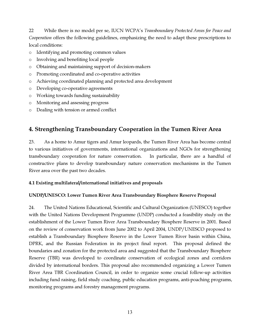22 While there is no model per se, IUCN WCPA's *Transboundary Protected Areas for Peace and Cooperation* offers the following guidelines, emphasizing the need to adapt these prescriptions to local conditions:

- o Identifying and promoting common values
- o Involving and benefiting local people
- o Obtaining and maintaining support of decision-makers
- o Promoting coordinated and co-operative activities
- o Achieving coordinated planning and protected area development
- o Developing co-operative agreements
- o Working towards funding sustainability
- o Monitoring and assessing progress
- o Dealing with tension or armed conflict

# 4. Strengthening Transboundary Cooperation in the Tumen River Area

23. As a home to Amur tigers and Amur leopards, the Tumen River Area has become central to various initiatives of governments, international organizations and NGOs for strengthening transboundary cooperation for nature conservation. In particular, there are a handful of constructive plans to develop transboundary nature conservation mechanisms in the Tumen River area over the past two decades.

# 4.1 Existing multilateral/international initiatives and proposals

# UNDP/UNESCO: Lower Tumen River Area Transboundary Biosphere Reserve Proposal

24. The United Nations Educational, Scientific and Cultural Organization (UNESCO) together with the United Nations Development Programme (UNDP) conducted a feasibility study on the establishment of the Lower Tumen River Area Transboundary Biosphere Reserve in 2001. Based on the review of conservation work from June 2002 to April 2004, UNDP/UNESCO proposed to establish a Transboundary Biosphere Reserve in the Lower Tumen River basin within China, DPRK, and the Russian Federation in its project final report. This proposal defined the boundaries and zonation for the protected area and suggested that the Transboundary Biosphere Reserve (TBR) was developed to coordinate conservation of ecological zones and corridors divided by international borders. This proposal also recommended organizing a Lower Tumen River Area TBR Coordination Council, in order to organize some crucial follow-up activities including fund raising, field study coaching, public education programs, anti-poaching programs, monitoring programs and forestry management programs.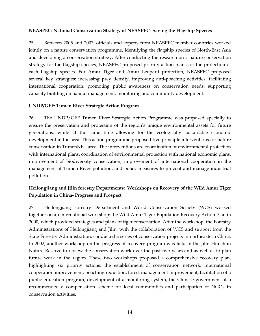#### NEASPEC: National Conservation Strategy of NEASPEC- Saving the Flagship Species

25. Between 2005 and 2007, officials and experts from NEASPEC member countries worked jointly on a nature conservation programme, identifying the flagship species of North-East Asia and developing a conservation strategy. After conducting the research on a nature conservation strategy for the flagship species, NEASPEC proposed priority action plans for the protection of each flagship species. For Amur Tiger and Amur Leopard protection, NEASPEC proposed several key strategies: increasing prey density, improving anti-poaching activities, facilitating international cooperation, promoting public awareness on conservation needs, supporting capacity building on habitat management, monitoring and community development.

#### UNDP/GEF: Tumen River Strategic Action Program

26. The UNDP/GEF Tumen River Strategic Action Programme was proposed specially to ensure the preservation and protection of the region's unique environmental assets for future generations, while at the same time allowing for the ecologically sustainable economic development in the area. This action programme proposed five principle interventions for nature conservation in TumenNET area. The interventions are coordination of environmental protection with international plans, coordination of environmental protection with national economic plans, improvement of biodiversity conservation, improvement of international cooperation in the management of Tumen River pollution, and policy measures to prevent and manage industrial pollution.

# Heilongjiang and Jilin forestry Departments: Workshops on Recovery of the Wild Amur Tiger Population in China- Progress and Prospect

27. Heilongjiang Forestry Department and World Conservation Society (WCS) worked together on an international workshop: the Wild Amur Tiger Population Recovery Action Plan in 2000, which provided strategies and plans of tiger conservation. After the workshop, the Forestry Administrations of Heilongjiang and Jilin, with the collaboration of WCS and support from the State Forestry Administration, conducted a series of conservation projects in northeastern China. In 2002, another workshop on the progress of recovery program was held in the Jilin Hunchun Nature Reserve to review the conservation work over the past two years and as well as to plan future work in the region. These two workshops proposed a comprehensive recovery plan, highlighting six priority actions: the establishment of conservation network, international cooperation improvement, poaching reduction, forest management improvement, facilitation of a public education program, development of a monitoring system, the Chinese government also recommended a compensation scheme for local communities and participation of NGOs in conservation activities.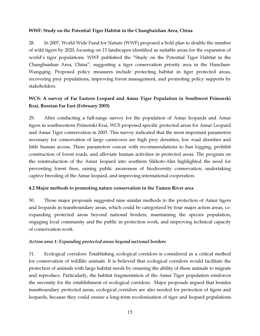# WWF: Study on the Potential Tiger Habitat in the Changbaishan Area, China

28. In 2007, World Wide Fund for Nature (WWF) proposed a bold plan to double the number of wild tigers by 2020, focusing on 13 landscapes identified as suitable areas for the expansion of world's tiger populations. WWF published the "Study on the Potential Tiger Habitat in the Changbaishan Area, China", suggesting a tiger conservation priority area in the Hunchun-Wangqing. Proposed policy measures include protecting habitat in tiger protected areas, recovering prey populations, improving forest management, and promoting policy supports by stakeholders.

# WCS: A survey of Far Eastern Leopard and Amur Tiger Population in Southwest Primorski Krai, Russian Far East (February 2003)

29. After conducting a full-range survey for the population of Amur leopards and Amur tigers in southwestern Primorski Krai, WCS proposed specific protected areas for Amur Leopard and Amur Tiger conservation in 2003. This survey indicated that the most important parameters necessary for conservation of large carnivores are high prey densities, low road densities and little human access. These parameters concur with recommendations to ban logging, prohibit construction of forest roads, and alleviate human activities in protected areas. The program on the reintroduction of the Amur leopard into southern Sikhote-Alin highlighted the need for preventing forest fires, raising public awareness of biodiversity conservation, undertaking captive breeding of the Amur leopard, and improving international cooperation.

# 4.2 Major methods to promoting nature conservation in the Tumen River area

30. Those major proposals suggested nine similar methods to the protection of Amur tigers and leopards in transboundary areas, which could be categorized by four major action areas, i.e. expanding protected areas beyond national borders, maintaining the species population, engaging local community and the public in protection work, and improving technical capacity of conservation work.

# *Action area 1: Expanding protected areas beyond national borders*

31. Ecological corridors: Establishing ecological corridors is considered as a critical method for conservation of wildlife animals. It is believed that ecological corridors would facilitate the protection of animals with large habitat needs by ensuring the ability of these animals to migrate and reproduce. Particularly, the habitat fragmentation of the Amur Tiger population reinforces the necessity for the establishment of ecological corridors. Major proposals argued that besides transboundary protected areas, ecological corridors are also needed for protection of tigers and leopards, because they could ensure a long-term recolonization of tiger and leopard populations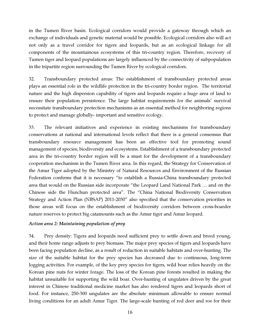in the Tumen River basin. Ecological corridors would provide a gateway through which an exchange of individuals and genetic material would be possible. Ecological corridors also will act not only as a travel corridor for tigers and leopards, but as an ecological linkage for all components of the mountainous ecosystems of this tri-country region. Therefore, recovery of Tumen tiger and leopard populations are largely influenced by the connectivity of subpopulation in the tripartite region surrounding the Tumen River by ecological corridors.

32. Transboundary protected areas: The establishment of transboundary protected areas plays an essential role in the wildlife protection in the tri-country border region. The territorial nature and the high dispersion capability of tigers and leopards require a huge area of land to ensure their population persistence. The large habitat requirements for the animals' survival necessitate transboundary protection mechanisms as an essential method for neighboring regions to protect and manage globally- important and sensitive ecology.

33. The relevant initiatives and experience in existing mechanisms for transboundary conservations at national and international levels reflect that there is a general consensus that transboundary resource management has been an effective tool for promoting sound management of species, biodiversity and ecosystems. Establishment of a transboundary protected area in the tri-country border region will be a must for the development of a transboundary cooperation mechanism in the Tumen River area. In this regard, the Strategy for Conservation of the Amur Tiger adopted by the Ministry of Natural Resources and Environment of the Russian Federation confirms that it is necessary "to establish a Russia-China transboundary protected area that would on the Russian side incorporate "the Leopard Land National Park … and on the Chinese side the Hunchun protected area". The "China National Biodiversity Conservation Strategy and Action Plan (NBSAP) 2011-2030" also specified that the conservation priorities in those areas will focus on the establishment of biodiversity corridors between cross-boarder nature reserves to protect big catamounts such as the Amur tiger and Amur leopard.

# *Action area 2: Maintaining population of prey*

34. Prey density: Tigers and leopards need sufficient prey to settle down and breed young, and their home range adjusts to prey biomass. The major prey species of tigers and leopards have been facing population decline, as a result of reduction in suitable habitats and over-hunting. The size of the suitable habitat for the prey species has decreased due to continuous, long-term logging activities. For example, of the key prey species for tigers, wild boar relies heavily on the Korean pine nuts for winter forage. The loss of the Korean pine forests resulted in making the habitat unsuitable for supporting the wild boar. Over-hunting of ungulates driven by the great interest in Chinese traditional medicine market has also rendered tigers and leopards short of food. For instance, 250-300 ungulates are the absolute minimum allowable to ensure normal living conditions for an adult Amur Tiger. The large-scale hunting of red deer and roe for their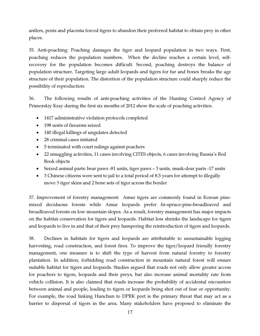antlers, penis and placenta forced tigers to abandon their preferred habitat to obtain prey in other places.

35. Anti-poaching: Poaching damages the tiger and leopard population in two ways. First, poaching reduces the population numbers. When the decline reaches a certain level, selfrecovery for the population becomes difficult. Second, poaching destroys the balance of population structure. Targeting large adult leopards and tigers for fur and bones breaks the age structure of their population. The distortion of the population structure could sharply reduce the possibility of reproduction.

36. The following results of anti-poaching activities of the Hunting Control Agency of Primorskiy Kray during the first six months of 2012 show the scale of poaching activities.

- 1417 administrative violation protocols completed
- 198 units of firearms seized
- 140 illegal killings of ungulates detected
- 28 criminal cases initiated
- 5 terminated with court rulings against poachers
- 22 smuggling activities, 11 cases involving CITES objects, 6 cases involving Russia's Red Book objects
- Seized animal parts: bear paws -81 units, tiger paws 3 units, musk-dear parts -17 units
- 3 Chinese citizens were sent to jail to a total period of 8.5 years for attempt to illegally move 3 tiger skins and 2 bone sets of tiger across the border

37. Improvement of forestry management: Amur tigers are commonly found in Korean pinemixed deciduous forests while Amur leopards prefer fir-spruce-pine-broadleaved and broadleaved forests on low mountain slopes. As a result, forestry management has major impacts on the habitat conservation for tigers and leopards. Habitat loss shrinks the landscape for tigers and leopards to live in and that of their prey hampering the reintroduction of tigers and leopards.

38. Declines in habitats for tigers and leopards are attributable to unsustainable logging harvesting, road construction, and forest fires. To improve the tiger/leopard friendly forestry management, one measure is to shift the type of harvest from natural forestry to forestry plantation. In addition, forbidding road construction in mountain natural forest will ensure suitable habitat for tigers and leopards. Studies argued that roads not only allow greater access for poachers to tigers, leopards and their preys, but also increase animal mortality rate from vehicle collision. It is also claimed that roads increase the probability of accidental encounters between animal and people, leading to tigers or leopards being shot out of fear or opportunity. For example, the road linking Hunchun to DPRK port is the primary threat that may act as a barrier to dispersal of tigers in the area. Many stakeholders have proposed to eliminate the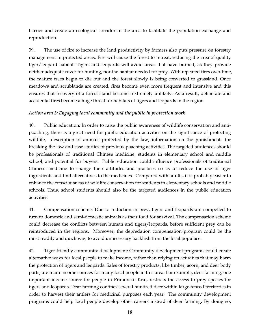barrier and create an ecological corridor in the area to facilitate the population exchange and reproduction.

39. The use of fire to increase the land productivity by farmers also puts pressure on forestry management in protected areas. Fire will cause the forest to retreat, reducing the area of quality tiger/leopard habitat. Tigers and leopards will avoid areas that have burned, as they provide neither adequate cover for hunting, nor the habitat needed for prey. With repeated fires over time, the mature trees begin to die out and the forest slowly is being converted to grassland. Once meadows and scrublands are created, fires become even more frequent and intensive and this ensures that recovery of a forest stand becomes extremely unlikely. As a result, deliberate and accidental fires become a huge threat for habitats of tigers and leopards in the region.

# *Action area 3: Engaging local community and the public in protection work*

40. Public education: In order to raise the public awareness of wildlife conservation and antipoaching, there is a great need for public education activities on the significance of protecting wildlife, description of animals protected by the law, information on the punishments for breaking the law and case studies of previous poaching activities. The targeted audiences should be professionals of traditional Chinese medicine, students in elementary school and middle school, and potential fur buyers. Public education could influence professionals of traditional Chinese medicine to change their attitudes and practices so as to reduce the use of tiger ingredients and find alternatives to the medicines. Compared with adults, it is probably easier to enhance the consciousness of wildlife conservation for students in elementary schools and middle schools. Thus, school students should also be the targeted audiences in the public education activities.

41. Compensation scheme: Due to reduction in prey, tigers and leopards are compelled to turn to domestic and semi-domestic animals as their food for survival. The compensation scheme could decrease the conflicts between human and tigers/leopards, before sufficient prey can be reintroduced in the regions. Moreover, the depredation compensation program could be the most readily and quick way to avoid unnecessary backlash from the local populace.

42. Tiger-friendly community development: Community development programs could create alternative ways for local people to make income, rather than relying on activities that may harm the protection of tigers and leopards. Sales of forestry products, like timber, acorn, and deer body parts, are main income sources for many local people in this area. For example, deer farming, one important income source for people in Primorskii Krai, restricts the access to prey species for tigers and leopards. Dear farming confines several hundred deer within large fenced territories in order to harvest their antlers for medicinal purposes each year. The community development programs could help local people develop other careers instead of deer farming. By doing so,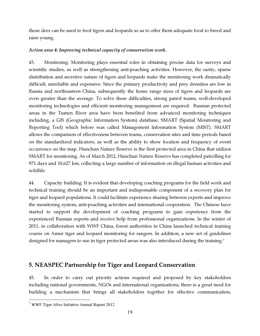those deer can be used to feed tigers and leopards so as to offer them adequate food to breed and raise young.

# *Action area 4: Improving technical capacity of conservation work.*

43. Monitoring: Monitoring plays essential roles in obtaining precise data for surveys and scientific studies, as well as strengthening anti-poaching activities. However, the rarity, sparse distribution and secretive nature of tigers and leopards make the monitoring work dramatically difficult, unreliable and expensive. Since the primary productivity and prey densities are low in Russia and northeastern China, subsequently the home range sizes of tigers and leopards are even greater than the average. To solve these difficulties, strong patrol teams, well-developed monitoring technologies and efficient monitoring management are required. Russian protected areas in the Tumen River area have been benefited from advanced monitoring techniques including, a GIS (Geographic Information System) database, SMART (Spatial Monitoring and Reporting Tool) which before was called Management Information System (MIST). SMART allows the comparison of effectiveness between teams, conservation sites and time periods based on the standardized indicators, as well as the ability to show location and frequency of event occurrence on the map. Hunchun Nature Reserve is the first protected area in China that utilizes SMART for monitoring. As of March 2012, Hunchun Nature Reserve has completed patrolling for 971 days and 10,627 km, collecting a large number of information on illegal human activities and wildlife.

44. Capacity building: It is evident that developing coaching programs for the field work and technical training should be an important and indispensable component of a recovery plan for tiger and leopard populations. It could facilitate experience sharing between experts and improve the monitoring system, anti-poaching activities and international cooperation. The Chinese have started to support the development of coaching programs to gain experience from the experienced Russian experts and receive help from professional organizations. In the winter of 2011, in collaboration with WWF China, forest authorities in China launched technical training course on Amur tiger and leopard monitoring for rangers. In addition, a new set of guidelines designed for managers to use in tiger protected areas was also introduced during the training.<sup>7</sup>

# 5. NEASPEC Partnership for Tiger and Leopard Conservation

45. In order to carry out priority actions required and proposed by key stakeholders including national governments, NGOs and international organizations, there is a great need for building a mechanism that brings all stakeholders together for effective communication,

 $\overline{a}$ 7 WWF Tiger Alive Initiative Annual Report 2012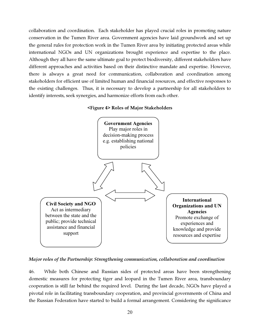collaboration and coordination. Each stakeholder has played crucial roles in promoting nature conservation in the Tumen River area. Government agencies have laid groundwork and set up the general rules for protection work in the Tumen River area by initiating protected areas while international NGOs and UN organizations brought experience and expertise to the place. Although they all have the same ultimate goal to protect biodiversity, different stakeholders have different approaches and activities based on their distinctive mandate and expertise. However, there is always a great need for communication, collaboration and coordination among stakeholders for efficient use of limited human and financial resources, and effective responses to the existing challenges. Thus, it is necessary to develop a partnership for all stakeholders to identify interests, seek synergies, and harmonize efforts from each other.

#### <Figure 4> Roles of Major Stakeholders



*Major roles of the Partnership: Strengthening communication, collaboration and coordination* 

46. While both Chinese and Russian sides of protected areas have been strengthening domestic measures for protecting tiger and leopard in the Tumen River area, transboundary cooperation is still far behind the required level. During the last decade, NGOs have played a pivotal role in facilitating transboundary cooperation, and provincial governments of China and the Russian Federation have started to build a formal arrangement. Considering the significance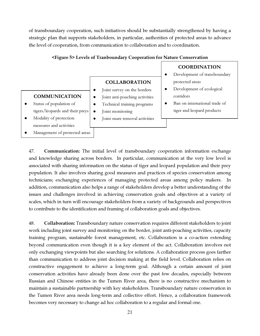of transboundary cooperation, such initiatives should be substantially strengthened by having a strategic plan that supports stakeholders, in particular, authorities of protected areas to advance the level of cooperation, from communication to collaboration and to coordination.

#### <Figure 5> Levels of Tranboundary Cooperation for Nature Conservation

#### **COMMUNICATION**

- Status of population of tigers/leopards and their preys
- Modality of protection measures and activities
- Management of protected areas

# COLLABORATION

- Joint survey on the borders
- Joint anti-poaching activities
- Technical training programs
- Joint monitoring
- Joint snare removal activities

### COORDINATION

- Development of transboundary protected areas
- Development of ecological corridors
- Ban on international trade of tiger and leopard products

47. Communication: The initial level of transboundary cooperation information exchange and knowledge sharing across borders. In particular, communication at the very low level is associated with sharing information on the status of tiger and leopard population and their prey population. It also involves sharing good measures and practices of species conservation among technicians; exchanging experiences of managing protected areas among policy makers. In addition, communication also helps a range of stakeholders develop a better understanding of the issues and challenges involved in achieving conservation goals and objectives at a variety of scales, which in turn will encourage stakeholders from a variety of backgrounds and perspectives to contribute to the identification and framing of collaboration goals and objectives.

48. Collaboration: Transboundary nature conservation requires different stakeholders to joint work including joint survey and monitoring on the border, joint anti-poaching activities, capacity training program, sustainable forest management, etc. Collaboration is a co-action extending beyond communication even though it is a key element of the act. Collaboration involves not only exchanging viewpoints but also searching for solutions. A collaboration process goes farther than communication to address joint decision making at the field level. Collaboration relies on constructive engagement to achieve a long-term goal. Although a certain amount of joint conservation activities have already been done over the past few decades, especially between Russian and Chinese entities in the Tumen River area, there is no constructive mechanism to maintain a sustainable partnership with key stakeholders. Transboundary nature conservation in the Tumen River area needs long-term and collective effort. Hence, a collaboration framework becomes very necessary to change ad hoc collaboration to a regular and formal one.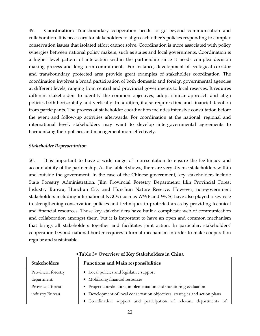49. Coordination: Transboundary cooperation needs to go beyond communication and collaboration. It is necessary for stakeholders to align each other's policies responding to complex conservation issues that isolated effort cannot solve. Coordination is more associated with policy synergies between national policy makers, such as states and local governments. Coordination is a higher level pattern of interaction within the partnership since it needs complex decision making process and long-term commitments. For instance, development of ecological corridor and transboundary protected area provide great examples of stakeholder coordination. The coordination involves a broad participation of both domestic and foreign governmental agencies at different levels, ranging from central and provincial governments to local reserves. It requires different stakeholders to identify the common objectives, adopt similar approach and align policies both horizontally and vertically. In addition, it also requires time and financial devotion from participants. The process of stakeholder coordination includes intensive consultation before the event and follow-up activities afterwards. For coordination at the national, regional and international level, stakeholders may want to develop intergovernmental agreements to harmonizing their policies and management more effectively.

#### *Stakeholder Representation*

50. It is important to have a wide range of representation to ensure the legitimacy and accountability of the partnership. As the table 3 shows, there are very diverse stakeholders within and outside the government. In the case of the Chinese government, key stakeholders include State Forestry Administration, Jilin Provincial Forestry Department; Jilin Provincial Forest Industry Bureau, Hunchun City and Hunchun Nature Reserve. However, non-government stakeholders including international NGOs (such as WWF and WCS) have also played a key role in strengthening conservation policies and techniques in protected areas by providing technical and financial resources. Those key stakeholders have built a complicate web of communication and collaboration amongst them, but it is important to have an open and common mechanism that brings all stakeholders together and facilitates joint action. In particular, stakeholders' cooperation beyond national border requires a formal mechanism in order to make cooperation regular and sustainable.

| <b>Stakeholders</b> | <b>Functions and Main responsibilities</b>                                  |
|---------------------|-----------------------------------------------------------------------------|
| Provincial forestry | • Local policies and legislative support                                    |
| department;         | • Mobilizing financial resources                                            |
| Provincial forest   | • Project coordination, implementation and monitoring evaluation            |
| industry Bureau     | • Development of local conservation objectives, strategies and action plans |
|                     | · Coordination support and participation of relevant departments of         |

#### <Table 3> Overview of Key Stakeholders in China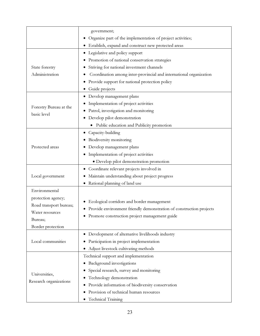|                                         | government;                                                         |
|-----------------------------------------|---------------------------------------------------------------------|
|                                         | Organize part of the implementation of project activities;          |
|                                         | • Establish, expand and construct new protected areas               |
|                                         | • Legislative and policy support                                    |
|                                         | Promotion of national conservation strategies                       |
| State forestry                          | Striving for national investment channels                           |
| Administration                          | Coordination among inter-provincial and international organization  |
|                                         | Provide support for national protection policy<br>٠                 |
|                                         | Guide projects                                                      |
|                                         | · Develop management plans                                          |
|                                         | Implementation of project activities                                |
| Forestry Bureau at the                  | Patrol, investigation and monitoring                                |
| basic level                             | · Develop pilot demonstration                                       |
|                                         | Public education and Publicity promotion                            |
|                                         | • Capacity-building                                                 |
|                                         | Biodiversity monitoring<br>$\bullet$                                |
| Protected areas                         | Develop management plans                                            |
|                                         | • Implementation of project activities                              |
|                                         | · Develop pilot demonstration promotion                             |
|                                         | • Coordinate relevant projects involved in                          |
| Local government                        | Maintain understanding about project progress<br>٠                  |
|                                         | • Rational planning of land use                                     |
| Environmental                           |                                                                     |
| protection agency;                      |                                                                     |
| Road transport bureau;                  | Ecological corridors and border management                          |
| Water resources                         | Provide environment friendly demonstration of construction projects |
| Bureau;                                 | • Promote construction project management guide                     |
| Border protection                       |                                                                     |
| Local communities                       | • Development of alternative livelihoods industry                   |
|                                         | Participation in project implementation<br>$\bullet$                |
|                                         | Adjust livestock cultivating methods                                |
| Universities,<br>Research organizations | Technical support and implementation                                |
|                                         | Background investigations                                           |
|                                         | Special research, survey and monitoring                             |
|                                         | Technology demonstration                                            |
|                                         | Provide information of biodiversity conservation                    |
|                                         | Provision of technical human resources                              |
|                                         | Technical Training<br>٠                                             |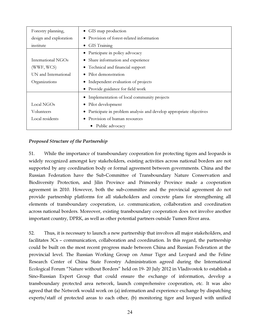| Forestry planning,     | GIS map production<br>$\bullet$                                    |
|------------------------|--------------------------------------------------------------------|
| design and exploration | Provision of forest-related information                            |
| institute              | GIS Training<br>$\bullet$                                          |
|                        | Participate in policy advocacy                                     |
| International NGOs     | Share information and experience                                   |
| (WWF, WCS)             | Technical and financial support<br>$\bullet$                       |
| UN and International   | Pilot demonstration<br>٠                                           |
| Organizations          | Independent evaluation of projects                                 |
|                        | • Provide guidance for field work                                  |
|                        | Implementation of local community projects                         |
| Local NGOs             | Pilot development                                                  |
| Volunteers             | Participate in problem analysis and develop appropriate objectives |
| Local residents        | Provision of human resources                                       |
|                        | Public advocacy                                                    |

# *Proposed Structure of the Partnership*

51. While the importance of transboundary cooperation for protecting tigers and leopards is widely recognized amongst key stakeholders, existing activities across national borders are not supported by any coordination body or formal agreement between governments. China and the Russian Federation have the Sub-Committee of Transboundary Nature Conservation and Biodiversity Protection, and Jilin Province and Primorsky Province made a cooperation agreement in 2010. However, both the sub-committee and the provincial agreement do not provide partnership platforms for all stakeholders and concrete plans for strengthening all elements of transboundary cooperation, i.e. communication, collaboration and coordination across national borders. Moreover, existing transboundary cooperation does not involve another important country, DPRK, as well as other potential partners outside Tumen River area.

52. Thus, it is necessary to launch a new partnership that involves all major stakeholders, and facilitates 3Cs – communication, collaboration and coordination. In this regard, the partnership could be built on the most recent progress made between China and Russian Federation at the provincial level. The Russian Working Group on Amur Tiger and Leopard and the Feline Research Center of China State Forestry Administration agreed during the International Ecological Forum "Nature without Borders" held on 19- 20 July 2012 in Vladivostok to establish a Sino-Russian Expert Group that could ensure the exchange of information, develop a transboundary protected area network, launch comprehensive cooperation, etc. It was also agreed that the Network would work on (a) information and experience exchange by dispatching experts/staff of protected areas to each other, (b) monitoring tiger and leopard with unified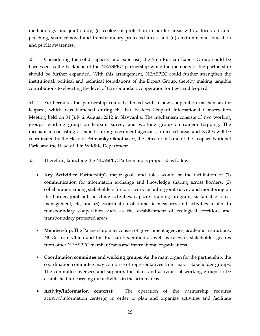methodology and joint study, (c) ecological protection in border areas with a focus on antipoaching, snare removal and transboundary protected areas, and (d) environmental education and public awareness.

53. Considering the solid capacity and expertise, the Sino-Russian Expert Group could be harnessed as the backbone of the NEASPEC partnership while the members of the partnership should be further expanded. With this arrangement, NEASPEC could further strengthen the institutional, political and technical foundations of the Expert Group, thereby making tangible contributions to elevating the level of transboundary cooperation for tiger and leopard.

54. Furthermore, the partnership could be linked with a new cooperation mechanism for leopard, which was launched during the Far Eastern Leopard International Conservation Meeting held on 31 July 2 August 2012 in Slavyanka. The mechanism consists of two working groups: working group on leopard survey and working group on camera trapping. The mechanism consisting of experts from government agencies, protected areas and NGOs will be coordinated by the Head of Primorsky Okhotnazor, the Director of Land of the Leopard National Park, and the Head of Jilin Wildlife Department.

55. Therefore, launching the NEASPEC Partnership is proposed as follows

- Key Activities: Partnership's major goals and roles would be the facilitation of (1) communication for information exchange and knowledge sharing across borders, (2) collaboration among stakeholders for joint work including joint survey and monitoring on the border, joint anti-poaching activities, capacity training program, sustainable forest management, etc, and (3) coordination of domestic measures and activities related to transboundary cooperation such as the establishment of ecological corridors and transboundary protected areas.
- Membership: The Partnership may consist of government agencies, academic institutions, NGOs from China and the Russian Federation as well as relevant stakeholder groups from other NEASPEC member States and international organizations.
- Coordination committee and working groups: As the main organ for the partnership, the coordination committee may comprise of representatives from major stakeholder groups. The committee oversees and supports the plans and activities of working groups to be established for carrying out activities in the action areas.
- Activity/Information center(s): The operation of the partnership requires activity/information center(s) in order to plan and organize activities and facilitate